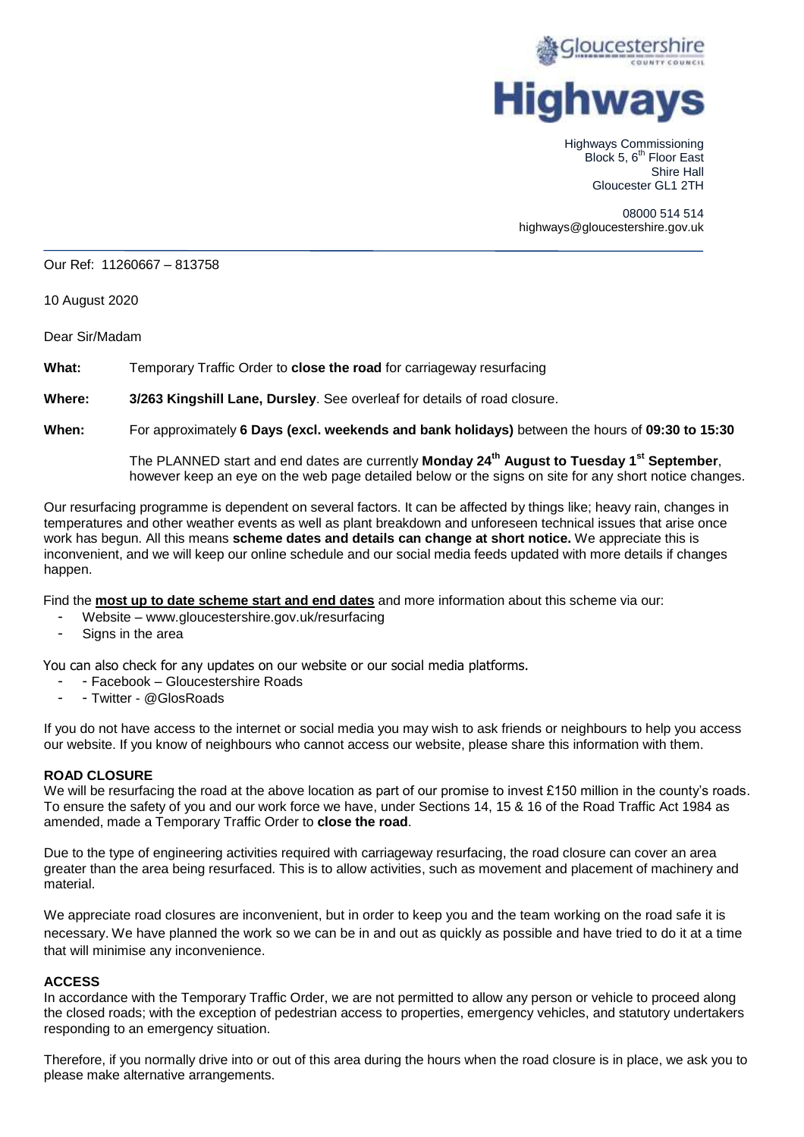

Highways Commissioning Block 5, 6<sup>th</sup> Floor East Shire Hall Gloucester GL1 2TH

08000 514 514 highways@gloucestershire.gov.uk

## Our Ref: 11260667 – 813758

10 August 2020

Dear Sir/Madam

**What:** Temporary Traffic Order to **close the road** for carriageway resurfacing

**Where: 3/263 Kingshill Lane, Dursley**. See overleaf for details of road closure.

**When:** For approximately **6 Days (excl. weekends and bank holidays)** between the hours of **09:30 to 15:30**

The PLANNED start and end dates are currently **Monday 24th August to Tuesday 1st September**, however keep an eye on the web page detailed below or the signs on site for any short notice changes.

Our resurfacing programme is dependent on several factors. It can be affected by things like; heavy rain, changes in temperatures and other weather events as well as plant breakdown and unforeseen technical issues that arise once work has begun. All this means **scheme dates and details can change at short notice.** We appreciate this is inconvenient, and we will keep our online schedule and our social media feeds updated with more details if changes happen.

Find the **most up to date scheme start and end dates** and more information about this scheme via our:

- Website www.gloucestershire.gov.uk/resurfacing
- Signs in the area

You can also check for any updates on our website or our social media platforms.

- Facebook Gloucestershire Roads
- Twitter @GlosRoads

If you do not have access to the internet or social media you may wish to ask friends or neighbours to help you access our website. If you know of neighbours who cannot access our website, please share this information with them.

## **ROAD CLOSURE**

We will be resurfacing the road at the above location as part of our promise to invest £150 million in the county's roads. To ensure the safety of you and our work force we have, under Sections 14, 15 & 16 of the Road Traffic Act 1984 as amended, made a Temporary Traffic Order to **close the road**.

Due to the type of engineering activities required with carriageway resurfacing, the road closure can cover an area greater than the area being resurfaced. This is to allow activities, such as movement and placement of machinery and material.

We appreciate road closures are inconvenient, but in order to keep you and the team working on the road safe it is necessary. We have planned the work so we can be in and out as quickly as possible and have tried to do it at a time that will minimise any inconvenience.

## **ACCESS**

In accordance with the Temporary Traffic Order, we are not permitted to allow any person or vehicle to proceed along the closed roads; with the exception of pedestrian access to properties, emergency vehicles, and statutory undertakers responding to an emergency situation.

Therefore, if you normally drive into or out of this area during the hours when the road closure is in place, we ask you to please make alternative arrangements.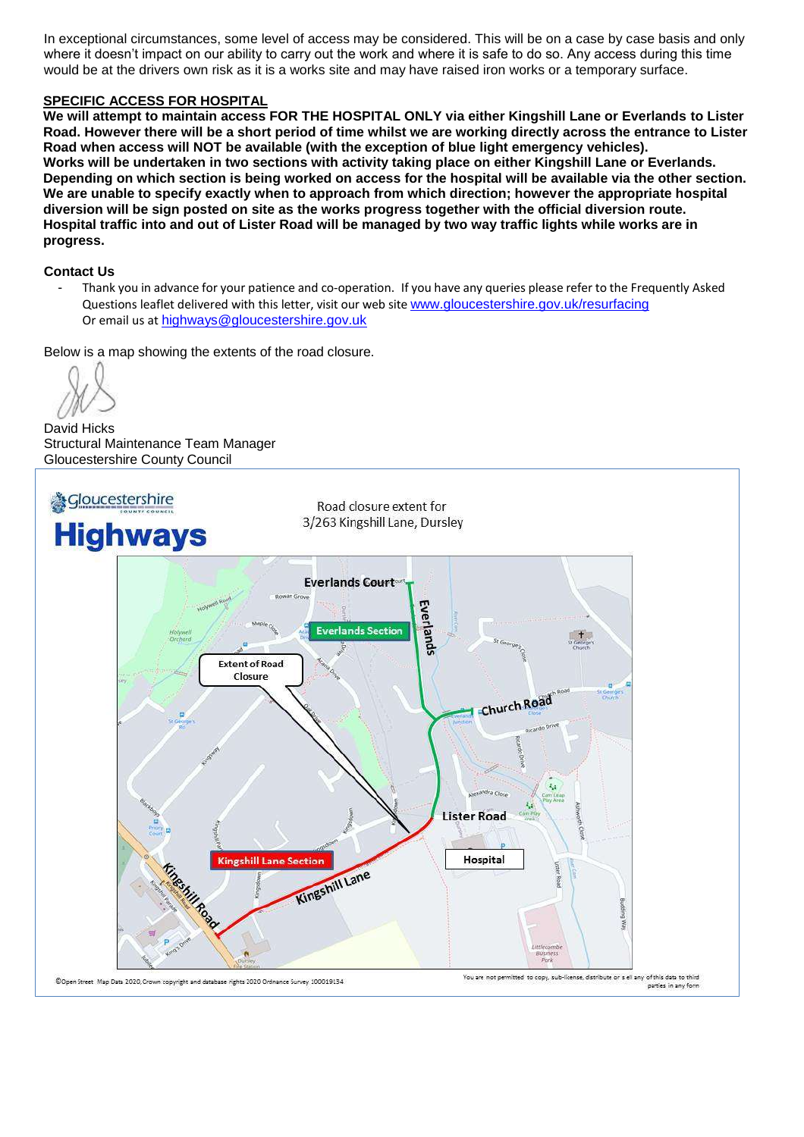In exceptional circumstances, some level of access may be considered. This will be on a case by case basis and only where it doesn't impact on our ability to carry out the work and where it is safe to do so. Any access during this time would be at the drivers own risk as it is a works site and may have raised iron works or a temporary surface.

# **SPECIFIC ACCESS FOR HOSPITAL**

**We will attempt to maintain access FOR THE HOSPITAL ONLY via either Kingshill Lane or Everlands to Lister Road. However there will be a short period of time whilst we are working directly across the entrance to Lister Road when access will NOT be available (with the exception of blue light emergency vehicles). Works will be undertaken in two sections with activity taking place on either Kingshill Lane or Everlands. Depending on which section is being worked on access for the hospital will be available via the other section. We are unable to specify exactly when to approach from which direction; however the appropriate hospital diversion will be sign posted on site as the works progress together with the official diversion route. Hospital traffic into and out of Lister Road will be managed by two way traffic lights while works are in progress.**

# **Contact Us**

- Thank you in advance for your patience and co-operation. If you have any queries please refer to the Frequently Asked Questions leaflet delivered with this letter, visit our web site [www.gloucestershire.gov.uk/resurfacing](http://www.gloucestershire.gov.uk/resurfacing) Or email us at [highways@gloucestershire.gov.uk](mailto:highways@gloucestershire.gov.uk)

Below is a map showing the extents of the road closure.

David Hicks Structural Maintenance Team Manager Gloucestershire County Council